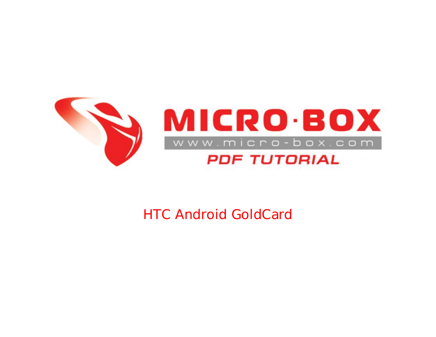

## HTC Android GoldCard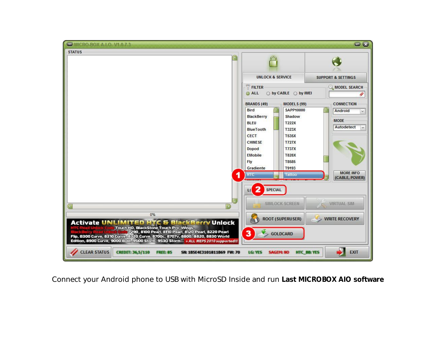

Connect your Android phone to USB with MicroSD Inside and run **Last MICROBOX AIO software**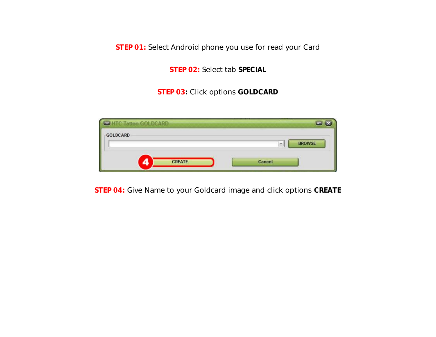**STEP 01:** Select Android phone you use for read your Card

**STEP 02:** Select tab **SPECIAL**

**STEP 03:** Click options **GOLDCARD**

| HTC Tattoo GOLDCARD |                             |  |
|---------------------|-----------------------------|--|
| GOLDCARD            |                             |  |
|                     | <b>BROWSE</b><br>$\ddot{v}$ |  |
|                     |                             |  |
| <b>CREATE</b>       | Cancel                      |  |

**STEP 04:** Give Name to your Goldcard image and click options **CREATE**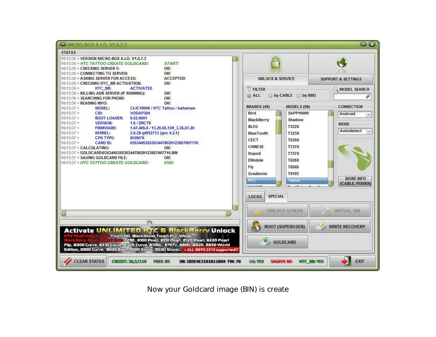

Now your Goldcard image (BIN) is create